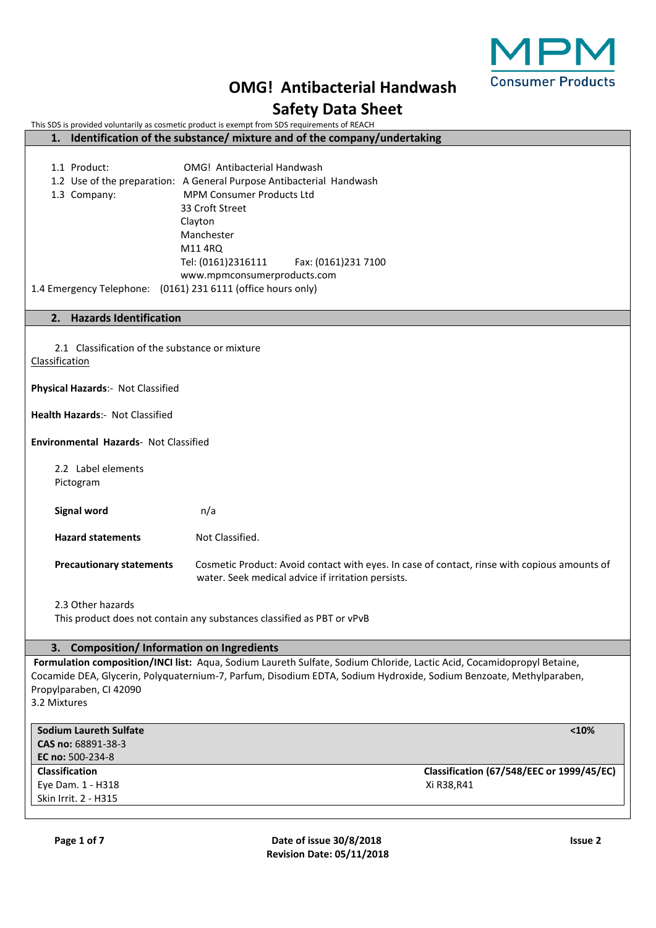

|                                                                  | <b>OMG! Antibacterial Handwash</b>                                                                                                                 | <b>Consumer Product</b> |
|------------------------------------------------------------------|----------------------------------------------------------------------------------------------------------------------------------------------------|-------------------------|
|                                                                  | <b>Safety Data Sheet</b>                                                                                                                           |                         |
|                                                                  | This SDS is provided voluntarily as cosmetic product is exempt from SDS requirements of REACH                                                      |                         |
| 1.                                                               | Identification of the substance/ mixture and of the company/undertaking                                                                            |                         |
| 1.1 Product:                                                     | OMG! Antibacterial Handwash                                                                                                                        |                         |
|                                                                  | 1.2 Use of the preparation: A General Purpose Antibacterial Handwash                                                                               |                         |
| 1.3 Company:                                                     | <b>MPM Consumer Products Ltd</b>                                                                                                                   |                         |
|                                                                  | 33 Croft Street                                                                                                                                    |                         |
|                                                                  | Clayton                                                                                                                                            |                         |
|                                                                  | Manchester                                                                                                                                         |                         |
|                                                                  | M11 4RQ                                                                                                                                            |                         |
|                                                                  | Tel: (0161)2316111<br>Fax: (0161)231 7100                                                                                                          |                         |
| 1.4 Emergency Telephone: (0161) 231 6111 (office hours only)     | www.mpmconsumerproducts.com                                                                                                                        |                         |
|                                                                  |                                                                                                                                                    |                         |
| <b>Hazards Identification</b><br>2.                              |                                                                                                                                                    |                         |
|                                                                  |                                                                                                                                                    |                         |
| 2.1 Classification of the substance or mixture<br>Classification |                                                                                                                                                    |                         |
|                                                                  |                                                                                                                                                    |                         |
| Physical Hazards:- Not Classified                                |                                                                                                                                                    |                         |
| Health Hazards:- Not Classified                                  |                                                                                                                                                    |                         |
| Environmental Hazards- Not Classified                            |                                                                                                                                                    |                         |
| 2.2 Label elements                                               |                                                                                                                                                    |                         |
| Pictogram                                                        |                                                                                                                                                    |                         |
|                                                                  |                                                                                                                                                    |                         |
| <b>Signal word</b>                                               | n/a                                                                                                                                                |                         |
| <b>Hazard statements</b>                                         | Not Classified.                                                                                                                                    |                         |
| <b>Precautionary statements</b>                                  | Cosmetic Product: Avoid contact with eyes. In case of contact, rinse with copious amounts of<br>water. Seek medical advice if irritation persists. |                         |
| 2.3 Other hazards                                                |                                                                                                                                                    |                         |
|                                                                  | This product does not contain any substances classified as PBT or vPvB                                                                             |                         |
|                                                                  |                                                                                                                                                    |                         |
| <b>Composition/Information on Ingredients</b><br>3.              |                                                                                                                                                    |                         |
|                                                                  | Formulation composition/INCI list: Aqua, Sodium Laureth Sulfate, Sodium Chloride, Lactic Acid, Cocamidopropyl Betaine,                             |                         |
| Propylparaben, CI 42090                                          | Cocamide DEA, Glycerin, Polyquaternium-7, Parfum, Disodium EDTA, Sodium Hydroxide, Sodium Benzoate, Methylparaben,                                 |                         |
| 3.2 Mixtures                                                     |                                                                                                                                                    |                         |
|                                                                  |                                                                                                                                                    |                         |
| <b>Sodium Laureth Sulfate</b>                                    |                                                                                                                                                    | < 10%                   |
| CAS no: 68891-38-3<br>EC no: 500-234-8                           |                                                                                                                                                    |                         |
|                                                                  |                                                                                                                                                    |                         |

**Classification Classification (67/548/EEC or 1999/45/EC)** Eye Dam. 1 - H318 Xi R38,R41

Skin Irrit. 2 - H315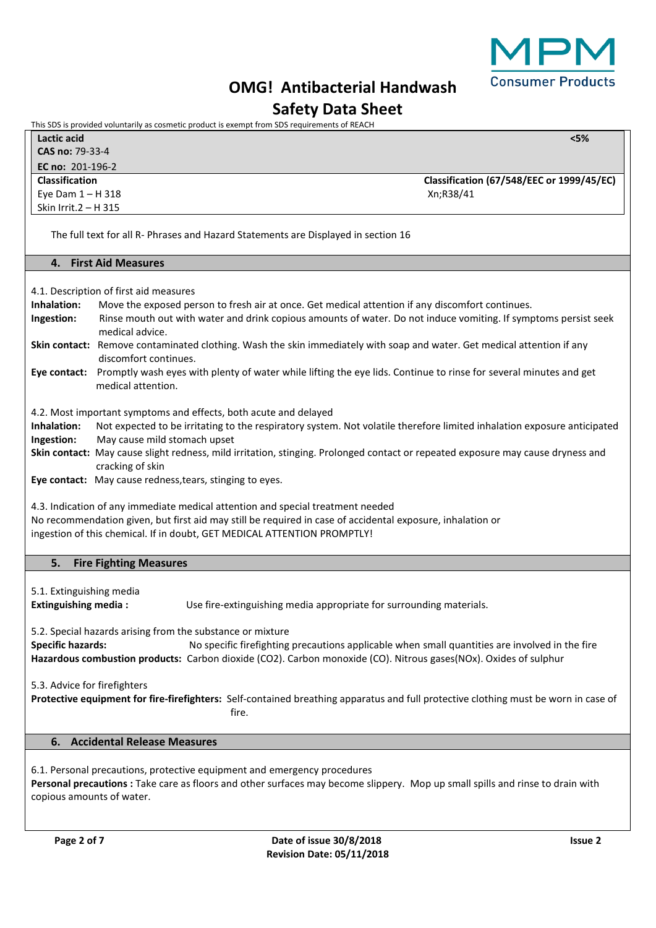

# **OMG! Antibacterial Handwash**

# **Safety Data Sheet**

This SDS is provided voluntarily as cosmetic product is exempt from SDS requirements of REACH

|                       | Lactic acid            | $<$ 5%                                    |
|-----------------------|------------------------|-------------------------------------------|
|                       | <b>CAS no: 79-33-4</b> |                                           |
|                       | EC no: $201-196-2$     |                                           |
| <b>Classification</b> |                        | Classification (67/548/EEC or 1999/45/EC) |
|                       | Eye Dam $1 - H$ 318    | Xn;R38/41                                 |
|                       | Skin Irrit.2 – H 315   |                                           |

The full text for all R- Phrases and Hazard Statements are Displayed in section 16

## **4. First Aid Measures**

4.1. Description of first aid measures

**Inhalation:** Move the exposed person to fresh air at once. Get medical attention if any discomfort continues. **Ingestion:** Rinse mouth out with water and drink copious amounts of water. Do not induce vomiting. If symptoms persist seek medical advice. **Skin contact:** Remove contaminated clothing. Wash the skin immediately with soap and water. Get medical attention if any discomfort continues.

**Eye contact:** Promptly wash eyes with plenty of water while lifting the eye lids. Continue to rinse for several minutes and get medical attention.

4.2. Most important symptoms and effects, both acute and delayed

**Inhalation:** Not expected to be irritating to the respiratory system. Not volatile therefore limited inhalation exposure anticipated **Ingestion:** May cause mild stomach upset

**Skin contact:** May cause slight redness, mild irritation, stinging. Prolonged contact or repeated exposure may cause dryness and cracking of skin

**Eye contact:** May cause redness,tears, stinging to eyes.

4.3. Indication of any immediate medical attention and special treatment needed No recommendation given, but first aid may still be required in case of accidental exposure, inhalation or ingestion of this chemical. If in doubt, GET MEDICAL ATTENTION PROMPTLY!

## **5. Fire Fighting Measures**

5.1. Extinguishing media

**Extinguishing media :** Use fire-extinguishing media appropriate for surrounding materials.

5.2. Special hazards arising from the substance or mixture

**Specific hazards:** No specific firefighting precautions applicable when small quantities are involved in the fire **Hazardous combustion products:** Carbon dioxide (CO2). Carbon monoxide (CO). Nitrous gases(NOx). Oxides of sulphur

5.3. Advice for firefighters

**Protective equipment for fire-firefighters:** Self-contained breathing apparatus and full protective clothing must be worn in case of **fire.** The contract of the contract of the contract of the contract of the contract of the contract of the contract of the contract of the contract of the contract of the contract of the contract of the contract of the co

# **6. Accidental Release Measures**

6.1. Personal precautions, protective equipment and emergency procedures **Personal precautions :** Take care as floors and other surfaces may become slippery. Mop up small spills and rinse to drain with copious amounts of water.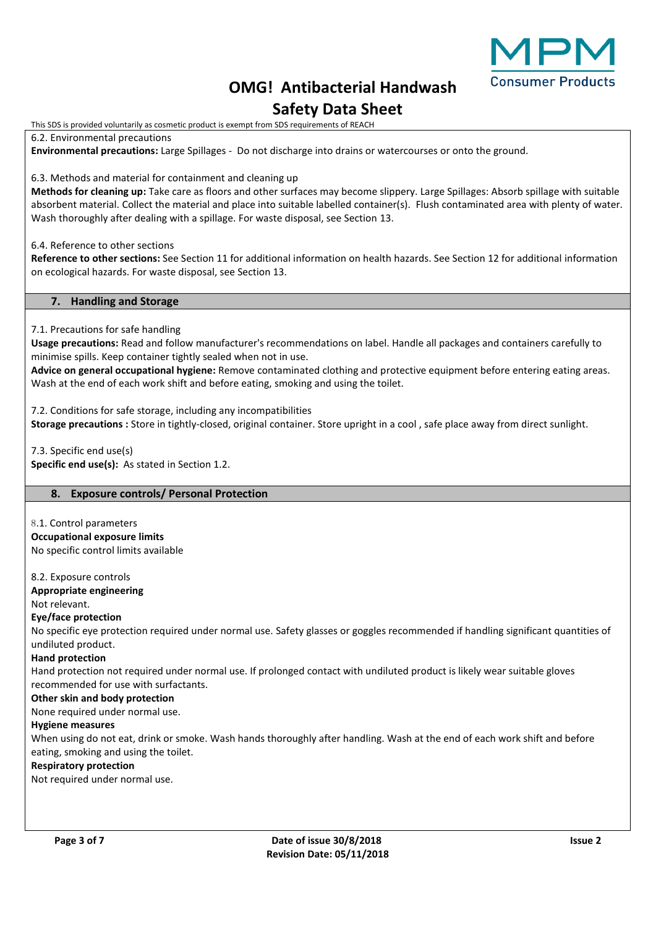

# **OMG! Antibacterial Handwash Safety Data Sheet**

This SDS is provided voluntarily as cosmetic product is exempt from SDS requirements of REACH

6.2. Environmental precautions

**Environmental precautions:** Large Spillages - Do not discharge into drains or watercourses or onto the ground.

6.3. Methods and material for containment and cleaning up

**Methods for cleaning up:** Take care as floors and other surfaces may become slippery. Large Spillages: Absorb spillage with suitable absorbent material. Collect the material and place into suitable labelled container(s). Flush contaminated area with plenty of water. Wash thoroughly after dealing with a spillage. For waste disposal, see Section 13.

6.4. Reference to other sections

**Reference to other sections:** See Section 11 for additional information on health hazards. See Section 12 for additional information on ecological hazards. For waste disposal, see Section 13.

## **7. Handling and Storage**

7.1. Precautions for safe handling

**Usage precautions:** Read and follow manufacturer's recommendations on label. Handle all packages and containers carefully to minimise spills. Keep container tightly sealed when not in use.

**Advice on general occupational hygiene:** Remove contaminated clothing and protective equipment before entering eating areas. Wash at the end of each work shift and before eating, smoking and using the toilet.

7.2. Conditions for safe storage, including any incompatibilities **Storage precautions :** Store in tightly-closed, original container. Store upright in a cool , safe place away from direct sunlight.

7.3. Specific end use(s) **Specific end use(s):** As stated in Section 1.2.

# **8. Exposure controls/ Personal Protection**

8.1. Control parameters **Occupational exposure limits** No specific control limits available

8.2. Exposure controls

**Appropriate engineering** Not relevant.

# **Eye/face protection**

No specific eye protection required under normal use. Safety glasses or goggles recommended if handling significant quantities of undiluted product.

**Hand protection**

Hand protection not required under normal use. If prolonged contact with undiluted product is likely wear suitable gloves recommended for use with surfactants.

## **Other skin and body protection**

None required under normal use.

## **Hygiene measures**

When using do not eat, drink or smoke. Wash hands thoroughly after handling. Wash at the end of each work shift and before eating, smoking and using the toilet.

## **Respiratory protection**

Not required under normal use.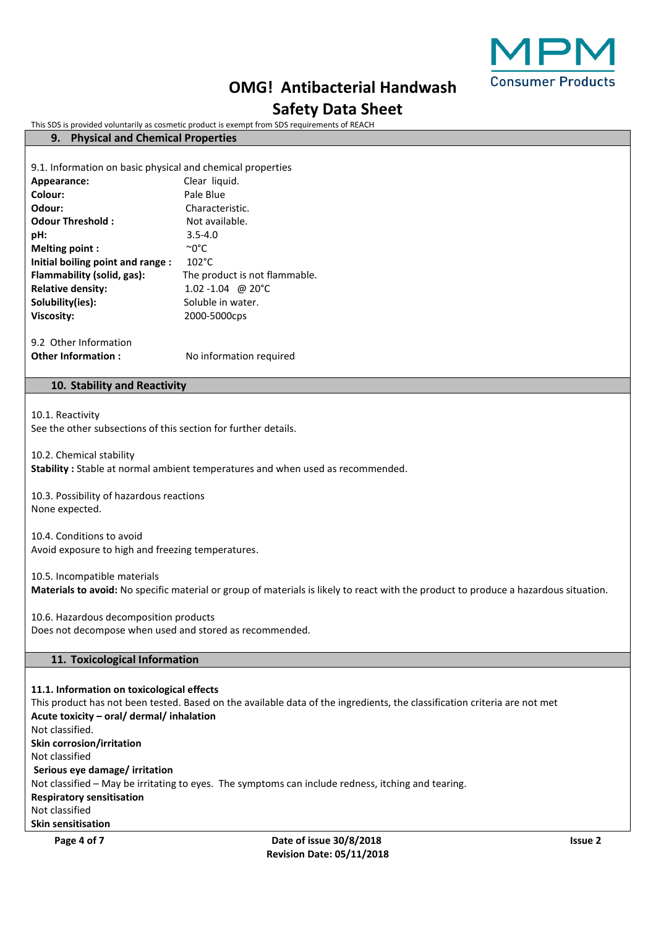

# **OMG! Antibacterial Handwash**

# **Safety Data Sheet**

This SDS is provided voluntarily as cosmetic product is exempt from SDS requirements of REACH

# **9. Physical and Chemical Properties**

9.1. Information on basic physical and chemical properties

| Appearance:                      | Clear liquid.                 |
|----------------------------------|-------------------------------|
| Colour:                          | Pale Blue                     |
| Odour:                           | Characteristic.               |
| <b>Odour Threshold:</b>          | Not available.                |
| pH:                              | $3.5 - 4.0$                   |
| Melting point:                   | ∼0°C                          |
| Initial boiling point and range: | $102^{\circ}$ C               |
| Flammability (solid, gas):       | The product is not flammable. |
| <b>Relative density:</b>         | 1.02 -1.04 @ 20 °C            |
| Solubility(ies):                 | Soluble in water.             |
| <b>Viscosity:</b>                | 2000-5000cps                  |
|                                  |                               |

9.2 Other Information **Other Information :** No information required

# **10. Stability and Reactivity**

10.1. Reactivity

See the other subsections of this section for further details.

10.2. Chemical stability

**Stability :** Stable at normal ambient temperatures and when used as recommended.

10.3. Possibility of hazardous reactions None expected.

10.4. Conditions to avoid Avoid exposure to high and freezing temperatures.

10.5. Incompatible materials **Materials to avoid:** No specific material or group of materials is likely to react with the product to produce a hazardous situation.

10.6. Hazardous decomposition products Does not decompose when used and stored as recommended.

# **11. Toxicological Information**

**11.1. Information on toxicological effects** This product has not been tested. Based on the available data of the ingredients, the classification criteria are not met **Acute toxicity – oral/ dermal/ inhalation** Not classified. **Skin corrosion/irritation** Not classified **Serious eye damage/ irritation** Not classified – May be irritating to eyes. The symptoms can include redness, itching and tearing. **Respiratory sensitisation** Not classified **Skin sensitisation**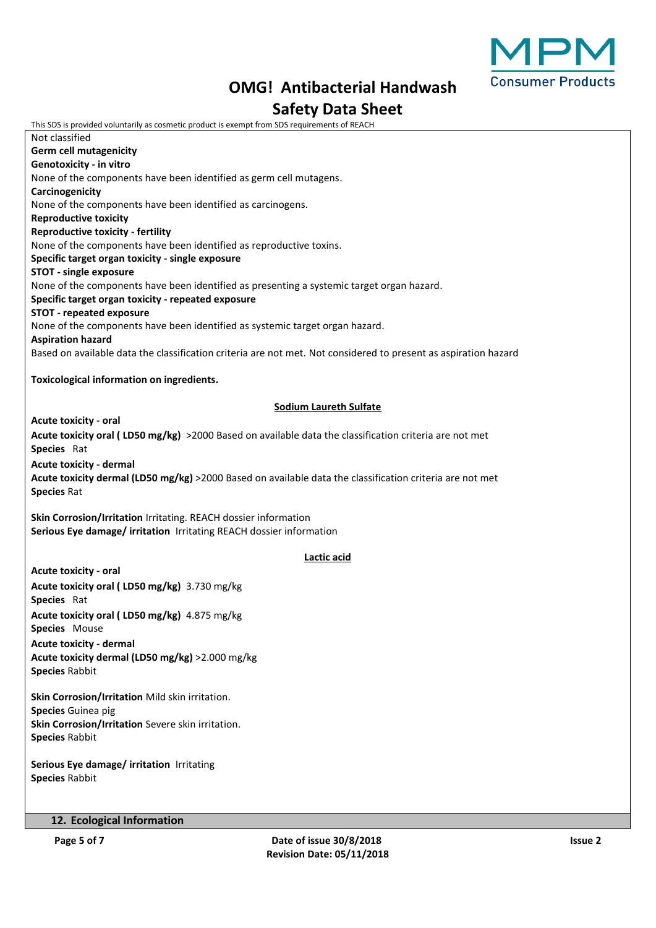

# **OMG! Antibacterial Handwash Safety Data Sheet**

This SDS is provided voluntarily as cosmetic product is exempt from SDS requirements of REACH Not classified **Germ cell mutagenicity Genotoxicity - in vitro** None of the components have been identified as germ cell mutagens. **Carcinogenicity** None of the components have been identified as carcinogens. **Reproductive toxicity Reproductive toxicity - fertility** None of the components have been identified as reproductive toxins. **Specific target organ toxicity - single exposure STOT - single exposure** None of the components have been identified as presenting a systemic target organ hazard. **Specific target organ toxicity - repeated exposure STOT - repeated exposure** None of the components have been identified as systemic target organ hazard. **Aspiration hazard** Based on available data the classification criteria are not met. Not considered to present as aspiration hazard **Toxicological information on ingredients. Sodium Laureth Sulfate Acute toxicity - oral Acute toxicity oral ( LD50 mg/kg)** >2000 Based on available data the classification criteria are not met **Species** Rat **Acute toxicity - dermal Acute toxicity dermal (LD50 mg/kg)** >2000 Based on available data the classification criteria are not met **Species** Rat **Skin Corrosion/Irritation** Irritating. REACH dossier information **Serious Eye damage/ irritation** Irritating REACH dossier information **Lactic acid Acute toxicity - oral Acute toxicity oral ( LD50 mg/kg)** 3.730 mg/kg **Species** Rat **Acute toxicity oral ( LD50 mg/kg)** 4.875 mg/kg **Species** Mouse **Acute toxicity - dermal Acute toxicity dermal (LD50 mg/kg)** >2.000 mg/kg **Species** Rabbit **Skin Corrosion/Irritation** Mild skin irritation. **Species** Guinea pig **Skin Corrosion/Irritation** Severe skin irritation. **Species** Rabbit

**Serious Eye damage/ irritation** Irritating **Species** Rabbit

# **12. Ecological Information**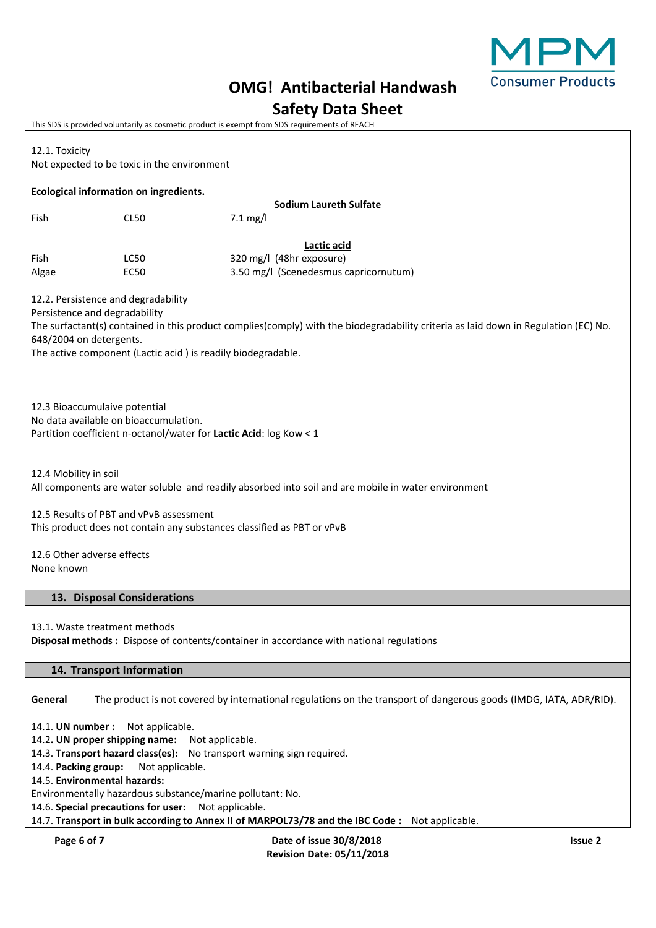

# **OMG! Antibacterial Handwash**

# **Safety Data Sheet**

This SDS is provided voluntarily as cosmetic product is exempt from SDS requirements of REACH

| 12.1. Toxicity<br>Not expected to be toxic in the environment                                                                                                                                                                                                                                          |                                                                                                |                                                                                                                    |                |  |  |  |
|--------------------------------------------------------------------------------------------------------------------------------------------------------------------------------------------------------------------------------------------------------------------------------------------------------|------------------------------------------------------------------------------------------------|--------------------------------------------------------------------------------------------------------------------|----------------|--|--|--|
| Ecological information on ingredients.                                                                                                                                                                                                                                                                 |                                                                                                |                                                                                                                    |                |  |  |  |
| Fish                                                                                                                                                                                                                                                                                                   | CL50                                                                                           | <b>Sodium Laureth Sulfate</b><br>$7.1$ mg/l                                                                        |                |  |  |  |
|                                                                                                                                                                                                                                                                                                        |                                                                                                | Lactic acid                                                                                                        |                |  |  |  |
| Fish<br>Algae                                                                                                                                                                                                                                                                                          | LC50<br><b>EC50</b>                                                                            | 320 mg/l (48hr exposure)<br>3.50 mg/l (Scenedesmus capricornutum)                                                  |                |  |  |  |
| 12.2. Persistence and degradability<br>Persistence and degradability<br>The surfactant(s) contained in this product complies(comply) with the biodegradability criteria as laid down in Regulation (EC) No.<br>648/2004 on detergents.<br>The active component (Lactic acid) is readily biodegradable. |                                                                                                |                                                                                                                    |                |  |  |  |
| 12.3 Bioaccumulaive potential<br>No data available on bioaccumulation.<br>Partition coefficient n-octanol/water for Lactic Acid: log Kow < 1                                                                                                                                                           |                                                                                                |                                                                                                                    |                |  |  |  |
| 12.4 Mobility in soil<br>All components are water soluble and readily absorbed into soil and are mobile in water environment                                                                                                                                                                           |                                                                                                |                                                                                                                    |                |  |  |  |
| 12.5 Results of PBT and vPvB assessment<br>This product does not contain any substances classified as PBT or vPvB                                                                                                                                                                                      |                                                                                                |                                                                                                                    |                |  |  |  |
| 12.6 Other adverse effects<br>None known                                                                                                                                                                                                                                                               |                                                                                                |                                                                                                                    |                |  |  |  |
|                                                                                                                                                                                                                                                                                                        | 13. Disposal Considerations                                                                    |                                                                                                                    |                |  |  |  |
| 13.1. Waste treatment methods<br>Disposal methods : Dispose of contents/container in accordance with national regulations                                                                                                                                                                              |                                                                                                |                                                                                                                    |                |  |  |  |
| 14. Transport Information                                                                                                                                                                                                                                                                              |                                                                                                |                                                                                                                    |                |  |  |  |
| General                                                                                                                                                                                                                                                                                                |                                                                                                | The product is not covered by international regulations on the transport of dangerous goods (IMDG, IATA, ADR/RID). |                |  |  |  |
| 14.1. UN number :<br>Not applicable.                                                                                                                                                                                                                                                                   |                                                                                                |                                                                                                                    |                |  |  |  |
| 14.2. UN proper shipping name:<br>Not applicable.                                                                                                                                                                                                                                                      |                                                                                                |                                                                                                                    |                |  |  |  |
| 14.3. Transport hazard class(es): No transport warning sign required.<br>14.4. Packing group:<br>Not applicable.                                                                                                                                                                                       |                                                                                                |                                                                                                                    |                |  |  |  |
| 14.5. Environmental hazards:                                                                                                                                                                                                                                                                           |                                                                                                |                                                                                                                    |                |  |  |  |
| Environmentally hazardous substance/marine pollutant: No.<br>14.6. Special precautions for user: Not applicable.                                                                                                                                                                                       |                                                                                                |                                                                                                                    |                |  |  |  |
|                                                                                                                                                                                                                                                                                                        | 14.7. Transport in bulk according to Annex II of MARPOL73/78 and the IBC Code: Not applicable. |                                                                                                                    |                |  |  |  |
| Page 6 of 7                                                                                                                                                                                                                                                                                            |                                                                                                | Date of issue 30/8/2018                                                                                            | <b>Issue 2</b> |  |  |  |